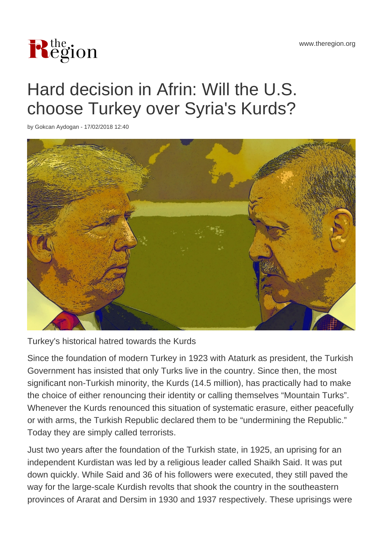

# Hard decision in Afrin: Will the U.S. choose Turkey over Syria's Kurds?

by Gokcan Aydogan - 17/02/2018 12:40



Turkey's historical hatred towards the Kurds

Since the foundation of modern Turkey in 1923 with Ataturk as president, the Turkish Government has insisted that only Turks live in the country. Since then, the most significant non-Turkish minority, the Kurds (14.5 million), has practically had to make the choice of either renouncing their identity or calling themselves "Mountain Turks". Whenever the Kurds renounced this situation of systematic erasure, either peacefully or with arms, the Turkish Republic declared them to be "undermining the Republic." Today they are simply called terrorists.

Just two years after the foundation of the Turkish state, in 1925, an uprising for an independent Kurdistan was led by a religious leader called Shaikh Said. It was put down quickly. While Said and 36 of his followers were executed, they still paved the way for the large-scale Kurdish revolts that shook the country in the southeastern provinces of Ararat and Dersim in 1930 and 1937 respectively. These uprisings were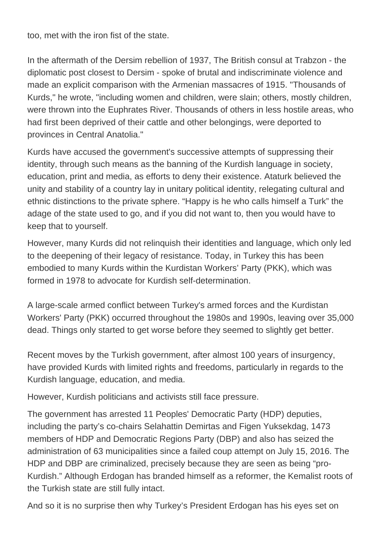too, met with the iron fist of the state.

In the aftermath of the Dersim rebellion of 1937, The British consul at Trabzon - the diplomatic post closest to Dersim - spoke of brutal and indiscriminate violence and made an explicit comparison with the Armenian massacres of 1915. "Thousands of Kurds," he wrote, "including women and children, were slain; others, mostly children, were thrown into the Euphrates River. Thousands of others in less hostile areas, who had first been deprived of their cattle and other belongings, were deported to provinces in Central Anatolia."

Kurds have accused the government's successive attempts of suppressing their identity, through such means as the banning of the Kurdish language in society, education, print and media, as efforts to deny their existence. Ataturk believed the unity and stability of a country lay in unitary political identity, relegating cultural and ethnic distinctions to the private sphere. "Happy is he who calls himself a Turk" the adage of the state used to go, and if you did not want to, then you would have to keep that to yourself.

However, many Kurds did not relinquish their identities and language, which only led to the deepening of their legacy of resistance. Today, in Turkey this has been embodied to many Kurds within the Kurdistan Workers' Party (PKK), which was formed in 1978 to advocate for Kurdish self-determination.

A large-scale armed conflict between Turkey's armed forces and the Kurdistan Workers' Party (PKK) occurred throughout the 1980s and 1990s, leaving over 35,000 dead. Things only started to get worse before they seemed to slightly get better.

Recent moves by the Turkish government, after almost 100 years of insurgency, have provided Kurds with limited rights and freedoms, particularly in regards to the Kurdish language, education, and media.

However, Kurdish politicians and activists still face pressure.

The government has arrested 11 Peoples' Democratic Party (HDP) deputies, including the party's co-chairs Selahattin Demirtas and Figen Yuksekdag, 1473 members of HDP and Democratic Regions Party (DBP) and also has seized the administration of 63 municipalities since a failed coup attempt on July 15, 2016. The HDP and DBP are criminalized, precisely because they are seen as being "pro-Kurdish." Although Erdogan has branded himself as a reformer, the Kemalist roots of the Turkish state are still fully intact.

And so it is no surprise then why Turkey's President Erdogan has his eyes set on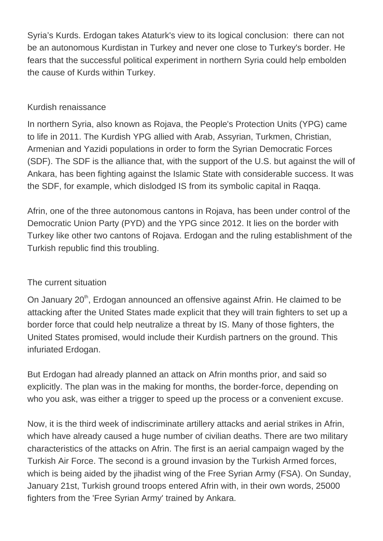Syria's Kurds. Erdogan takes Ataturk's view to its logical conclusion: there can not be an autonomous Kurdistan in Turkey and never one close to Turkey's border. He fears that the successful political experiment in northern Syria could help embolden the cause of Kurds within Turkey.

### Kurdish renaissance

In northern Syria, also known as Rojava, the People's Protection Units (YPG) came to life in 2011. The Kurdish YPG allied with Arab, Assyrian, Turkmen, Christian, Armenian and Yazidi populations in order to form the Syrian Democratic Forces (SDF). The SDF is the alliance that, with the support of the U.S. but against the will of Ankara, has been fighting against the Islamic State with considerable success. It was the SDF, for example, which dislodged IS from its symbolic capital in Raqqa.

Afrin, one of the three autonomous cantons in Rojava, has been under control of the Democratic Union Party (PYD) and the YPG since 2012. It lies on the border with Turkey like other two cantons of Rojava. Erdogan and the ruling establishment of the Turkish republic find this troubling.

## The current situation

On January 20<sup>th</sup>, Erdogan announced an offensive against Afrin. He claimed to be attacking after the United States made explicit that they will train fighters to set up a border force that could help neutralize a threat by IS. Many of those fighters, the United States promised, would include their Kurdish partners on the ground. This infuriated Erdogan.

But Erdogan had already planned an attack on Afrin months prior, and said so explicitly. The plan was in the making for months, the border-force, depending on who you ask, was either a trigger to speed up the process or a convenient excuse.

Now, it is the third week of indiscriminate artillery attacks and aerial strikes in Afrin, which have already caused a huge number of civilian deaths. There are two military characteristics of the attacks on Afrin. The first is an aerial campaign waged by the Turkish Air Force. The second is a ground invasion by the Turkish Armed forces, which is being aided by the jihadist wing of the Free Syrian Army (FSA). On Sunday, January 21st, Turkish ground troops entered Afrin with, in their own words, 25000 fighters from the 'Free Syrian Army' trained by Ankara.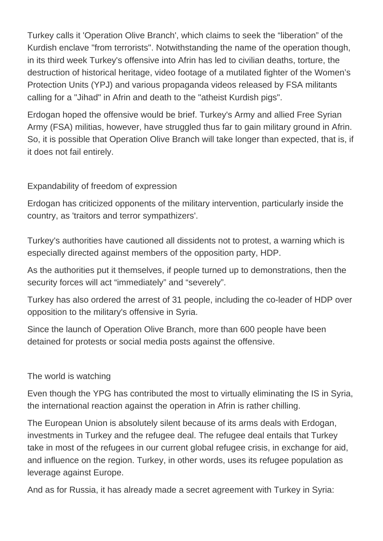Turkey calls it 'Operation Olive Branch', which claims to seek the "liberation" of the Kurdish enclave "from terrorists". Notwithstanding the name of the operation though, in its third week Turkey's offensive into Afrin has led to civilian deaths, torture, the destruction of historical heritage, video footage of a mutilated fighter of the Women's Protection Units (YPJ) and various propaganda videos released by FSA militants calling for a "Jihad" in Afrin and death to the "atheist Kurdish pigs".

Erdogan hoped the offensive would be brief. Turkey's Army and allied Free Syrian Army (FSA) militias, however, have struggled thus far to gain military ground in Afrin. So, it is possible that Operation Olive Branch will take longer than expected, that is, if it does not fail entirely.

## Expandability of freedom of expression

Erdogan has criticized opponents of the military intervention, particularly inside the country, as 'traitors and terror sympathizers'.

Turkey's authorities have cautioned all dissidents not to protest, a warning which is especially directed against members of the opposition party, HDP.

As the authorities put it themselves, if people turned up to demonstrations, then the security forces will act "immediately" and "severely".

Turkey has also ordered the arrest of 31 people, including the co-leader of HDP over opposition to the military's offensive in Syria.

Since the launch of Operation Olive Branch, more than 600 people have been detained for protests or social media posts against the offensive.

#### The world is watching

Even though the YPG has contributed the most to virtually eliminating the IS in Syria, the international reaction against the operation in Afrin is rather chilling.

The European Union is absolutely silent because of its arms deals with Erdogan, investments in Turkey and the refugee deal. The refugee deal entails that Turkey take in most of the refugees in our current global refugee crisis, in exchange for aid, and influence on the region. Turkey, in other words, uses its refugee population as leverage against Europe.

And as for Russia, it has already made a secret agreement with Turkey in Syria: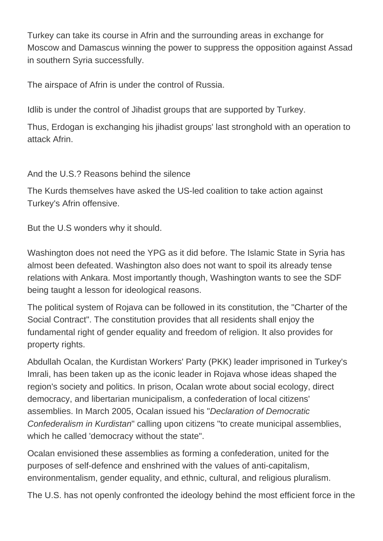Turkey can take its course in Afrin and the surrounding areas in exchange for Moscow and Damascus winning the power to suppress the opposition against Assad in southern Syria successfully.

The airspace of Afrin is under the control of Russia.

Idlib is under the control of Jihadist groups that are supported by Turkey.

Thus, Erdogan is exchanging his jihadist groups' last stronghold with an operation to attack Afrin.

And the U.S.? Reasons behind the silence

The Kurds themselves have asked the US-led coalition to take action against Turkey's Afrin offensive.

But the U.S wonders why it should.

Washington does not need the YPG as it did before. The Islamic State in Syria has almost been defeated. Washington also does not want to spoil its already tense relations with Ankara. Most importantly though, Washington wants to see the SDF being taught a lesson for ideological reasons.

The political system of Rojava can be followed in its constitution, the "Charter of the Social Contract". The constitution provides that all residents shall enjoy the fundamental right of gender equality and freedom of religion. It also provides for property rights.

Abdullah Ocalan, the Kurdistan Workers' Party (PKK) leader imprisoned in Turkey's Imrali, has been taken up as the iconic leader in Rojava whose ideas shaped the region's society and politics. In prison, Ocalan wrote about social ecology, direct democracy, and libertarian municipalism, a confederation of local citizens' assemblies. In March 2005, Ocalan issued his "Declaration of Democratic Confederalism in Kurdistan" calling upon citizens "to create municipal assemblies, which he called 'democracy without the state".

Ocalan envisioned these assemblies as forming a confederation, united for the purposes of self-defence and enshrined with the values of anti-capitalism, environmentalism, gender equality, and ethnic, cultural, and religious pluralism.

The U.S. has not openly confronted the ideology behind the most efficient force in the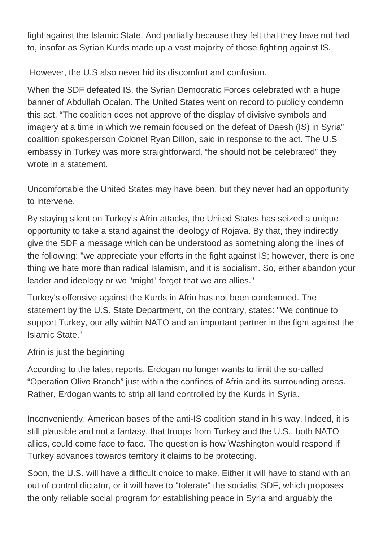fight against the Islamic State. And partially because they felt that they have not had to, insofar as Syrian Kurds made up a vast majority of those fighting against IS.

However, the U.S also never hid its discomfort and confusion.

When the SDF defeated IS, the Syrian Democratic Forces celebrated with a huge banner of Abdullah Ocalan. The United States went on record to publicly condemn this act. "The coalition does not approve of the display of divisive symbols and imagery at a time in which we remain focused on the defeat of Daesh (IS) in Syria" coalition spokesperson Colonel Ryan Dillon, said in response to the act. The U.S embassy in Turkey was more straightforward, "he should not be celebrated" they wrote in a statement.

Uncomfortable the United States may have been, but they never had an opportunity to intervene.

By staying silent on Turkey's Afrin attacks, the United States has seized a unique opportunity to take a stand against the ideology of Rojava. By that, they indirectly give the SDF a message which can be understood as something along the lines of the following: "we appreciate your efforts in the fight against IS; however, there is one thing we hate more than radical Islamism, and it is socialism. So, either abandon your leader and ideology or we "might" forget that we are allies."

Turkey's offensive against the Kurds in Afrin has not been condemned. The statement by the U.S. State Department, on the contrary, states: "We continue to support Turkey, our ally within NATO and an important partner in the fight against the Islamic State."

Afrin is just the beginning

According to the latest reports, Erdogan no longer wants to limit the so-called "Operation Olive Branch" just within the confines of Afrin and its surrounding areas. Rather, Erdogan wants to strip all land controlled by the Kurds in Syria.

Inconveniently, American bases of the anti-IS coalition stand in his way. Indeed, it is still plausible and not a fantasy, that troops from Turkey and the U.S., both NATO allies, could come face to face. The question is how Washington would respond if Turkey advances towards territory it claims to be protecting.

Soon, the U.S. will have a difficult choice to make. Either it will have to stand with an out of control dictator, or it will have to "tolerate" the socialist SDF, which proposes the only reliable social program for establishing peace in Syria and arguably the